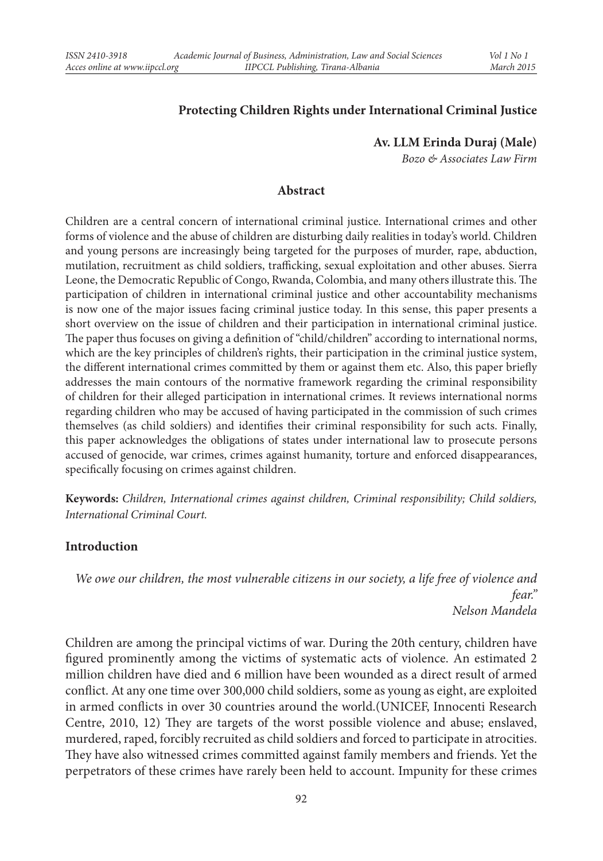#### **Protecting Children Rights under International Criminal Justice**

**Av. LLM Erinda Duraj (Male)**

*Bozo & Associates Law Firm*

#### **Abstract**

Children are a central concern of international criminal justice. International crimes and other forms of violence and the abuse of children are disturbing daily realities in today's world. Children and young persons are increasingly being targeted for the purposes of murder, rape, abduction, mutilation, recruitment as child soldiers, trafficking, sexual exploitation and other abuses. Sierra Leone, the Democratic Republic of Congo, Rwanda, Colombia, and many others illustrate this. The participation of children in international criminal justice and other accountability mechanisms is now one of the major issues facing criminal justice today. In this sense, this paper presents a short overview on the issue of children and their participation in international criminal justice. The paper thus focuses on giving a definition of "child/children" according to international norms, which are the key principles of children's rights, their participation in the criminal justice system, the different international crimes committed by them or against them etc. Also, this paper briefly addresses the main contours of the normative framework regarding the criminal responsibility of children for their alleged participation in international crimes. It reviews international norms regarding children who may be accused of having participated in the commission of such crimes themselves (as child soldiers) and identifies their criminal responsibility for such acts. Finally, this paper acknowledges the obligations of states under international law to prosecute persons accused of genocide, war crimes, crimes against humanity, torture and enforced disappearances, specifically focusing on crimes against children.

**Keywords:** *Children, International crimes against children, Criminal responsibility; Child soldiers, International Criminal Court.*

#### **Introduction**

*We owe our children, the most vulnerable citizens in our society, a life free of violence and fear." Nelson Mandela*

Children are among the principal victims of war. During the 20th century, children have figured prominently among the victims of systematic acts of violence. An estimated 2 million children have died and 6 million have been wounded as a direct result of armed conflict. At any one time over 300,000 child soldiers, some as young as eight, are exploited in armed conflicts in over 30 countries around the world.(UNICEF, Innocenti Research Centre, 2010, 12) They are targets of the worst possible violence and abuse; enslaved, murdered, raped, forcibly recruited as child soldiers and forced to participate in atrocities. They have also witnessed crimes committed against family members and friends. Yet the perpetrators of these crimes have rarely been held to account. Impunity for these crimes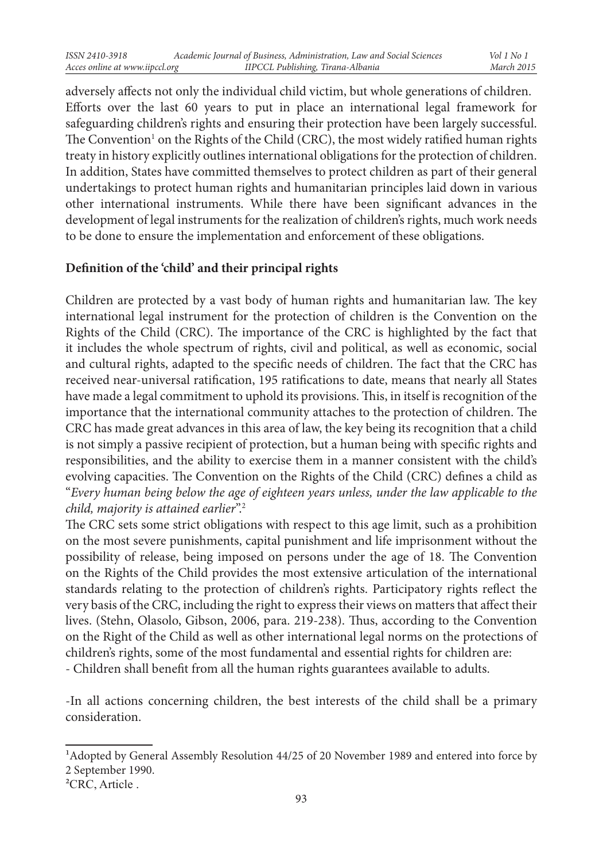adversely affects not only the individual child victim, but whole generations of children. Efforts over the last 60 years to put in place an international legal framework for safeguarding children's rights and ensuring their protection have been largely successful. The Convention<sup>1</sup> on the Rights of the Child (CRC), the most widely ratified human rights treaty in history explicitly outlines international obligations for the protection of children. In addition, States have committed themselves to protect children as part of their general undertakings to protect human rights and humanitarian principles laid down in various other international instruments. While there have been significant advances in the development of legal instruments for the realization of children's rights, much work needs to be done to ensure the implementation and enforcement of these obligations.

## **Definition of the 'child' and their principal rights**

Children are protected by a vast body of human rights and humanitarian law. The key international legal instrument for the protection of children is the Convention on the Rights of the Child (CRC). The importance of the CRC is highlighted by the fact that it includes the whole spectrum of rights, civil and political, as well as economic, social and cultural rights, adapted to the specific needs of children. The fact that the CRC has received near-universal ratification, 195 ratifications to date, means that nearly all States have made a legal commitment to uphold its provisions. This, in itself is recognition of the importance that the international community attaches to the protection of children. The CRC has made great advances in this area of law, the key being its recognition that a child is not simply a passive recipient of protection, but a human being with specific rights and responsibilities, and the ability to exercise them in a manner consistent with the child's evolving capacities. The Convention on the Rights of the Child (CRC) defines a child as "*Every human being below the age of eighteen years unless, under the law applicable to the child, majority is attained earlier*".2

The CRC sets some strict obligations with respect to this age limit, such as a prohibition on the most severe punishments, capital punishment and life imprisonment without the possibility of release, being imposed on persons under the age of 18. The Convention on the Rights of the Child provides the most extensive articulation of the international standards relating to the protection of children's rights. Participatory rights reflect the very basis of the CRC, including the right to express their views on matters that affect their lives. (Stehn, Olasolo, Gibson, 2006, para. 219-238). Thus, according to the Convention on the Right of the Child as well as other international legal norms on the protections of children's rights, some of the most fundamental and essential rights for children are: - Children shall benefit from all the human rights guarantees available to adults.

-In all actions concerning children, the best interests of the child shall be a primary consideration.

<sup>1</sup>Adopted by General Assembly Resolution 44/25 of 20 November 1989 and entered into force by 2 September 1990.

<sup>&</sup>lt;sup>2</sup>CRC, Article.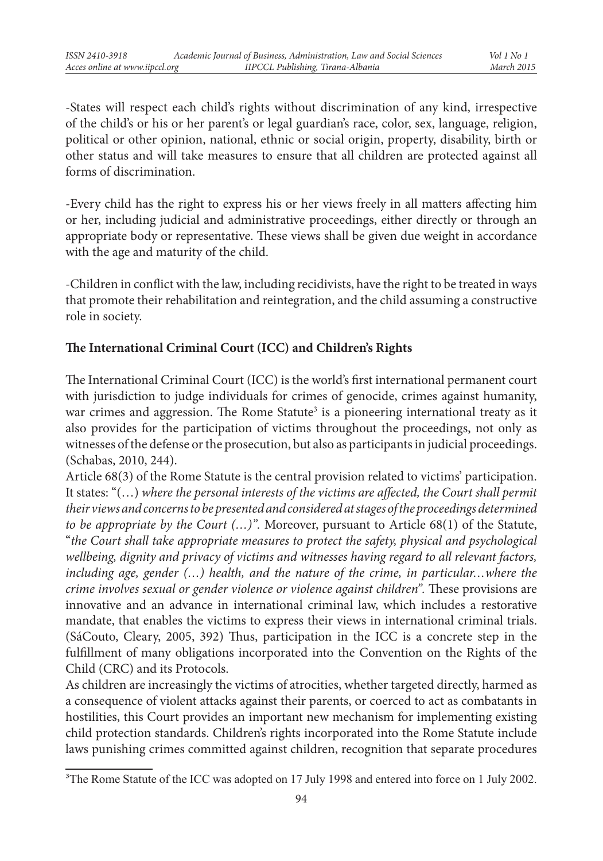-States will respect each child's rights without discrimination of any kind, irrespective of the child's or his or her parent's or legal guardian's race, color, sex, language, religion, political or other opinion, national, ethnic or social origin, property, disability, birth or other status and will take measures to ensure that all children are protected against all forms of discrimination.

-Every child has the right to express his or her views freely in all matters affecting him or her, including judicial and administrative proceedings, either directly or through an appropriate body or representative. These views shall be given due weight in accordance with the age and maturity of the child.

-Children in conflict with the law, including recidivists, have the right to be treated in ways that promote their rehabilitation and reintegration, and the child assuming a constructive role in society.

## **The International Criminal Court (ICC) and Children's Rights**

The International Criminal Court (ICC) is the world's first international permanent court with jurisdiction to judge individuals for crimes of genocide, crimes against humanity, war crimes and aggression. The Rome Statute<sup>3</sup> is a pioneering international treaty as it also provides for the participation of victims throughout the proceedings, not only as witnesses of the defense or the prosecution, but also as participants in judicial proceedings. (Schabas, 2010, 244).

Article 68(3) of the Rome Statute is the central provision related to victims' participation. It states: "(…) *where the personal interests of the victims are affected, the Court shall permit their views and concerns to be presented and considered at stages of the proceedings determined to be appropriate by the Court (…)".* Moreover, pursuant to Article 68(1) of the Statute, "*the Court shall take appropriate measures to protect the safety, physical and psychological wellbeing, dignity and privacy of victims and witnesses having regard to all relevant factors, including age, gender (…) health, and the nature of the crime, in particular…where the crime involves sexual or gender violence or violence against children".* These provisions are innovative and an advance in international criminal law, which includes a restorative mandate, that enables the victims to express their views in international criminal trials. (SáCouto, Cleary, 2005, 392) Thus, participation in the ICC is a concrete step in the fulfillment of many obligations incorporated into the Convention on the Rights of the Child (CRC) and its Protocols.

As children are increasingly the victims of atrocities, whether targeted directly, harmed as a consequence of violent attacks against their parents, or coerced to act as combatants in hostilities, this Court provides an important new mechanism for implementing existing child protection standards. Children's rights incorporated into the Rome Statute include laws punishing crimes committed against children, recognition that separate procedures

<sup>&</sup>lt;sup>3</sup>The Rome Statute of the ICC was adopted on 17 July 1998 and entered into force on 1 July 2002.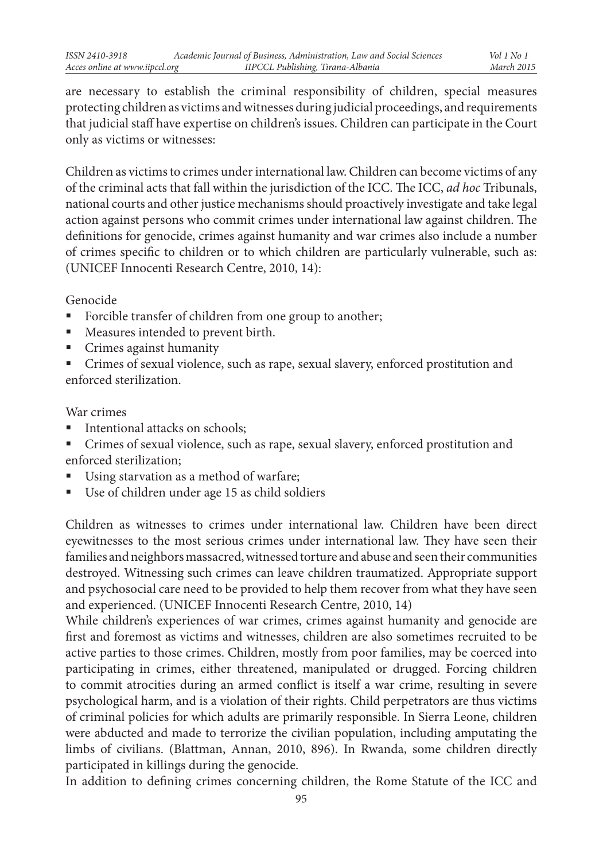are necessary to establish the criminal responsibility of children, special measures protecting children as victims and witnesses during judicial proceedings, and requirements that judicial staff have expertise on children's issues. Children can participate in the Court only as victims or witnesses:

Children as victims to crimes under international law. Children can become victims of any of the criminal acts that fall within the jurisdiction of the ICC. The ICC, *ad hoc* Tribunals, national courts and other justice mechanisms should proactively investigate and take legal action against persons who commit crimes under international law against children. The definitions for genocide, crimes against humanity and war crimes also include a number of crimes specific to children or to which children are particularly vulnerable, such as: (UNICEF Innocenti Research Centre, 2010, 14):

Genocide

- Forcible transfer of children from one group to another;
- Measures intended to prevent birth.
- Crimes against humanity
- Crimes of sexual violence, such as rape, sexual slavery, enforced prostitution and enforced sterilization.

#### War crimes

- **Intentional attacks on schools;**
- Crimes of sexual violence, such as rape, sexual slavery, enforced prostitution and enforced sterilization;
- Using starvation as a method of warfare;
- Use of children under age 15 as child soldiers

Children as witnesses to crimes under international law. Children have been direct eyewitnesses to the most serious crimes under international law. They have seen their families and neighbors massacred, witnessed torture and abuse and seen their communities destroyed. Witnessing such crimes can leave children traumatized. Appropriate support and psychosocial care need to be provided to help them recover from what they have seen and experienced. (UNICEF Innocenti Research Centre, 2010, 14)

While children's experiences of war crimes, crimes against humanity and genocide are first and foremost as victims and witnesses, children are also sometimes recruited to be active parties to those crimes. Children, mostly from poor families, may be coerced into participating in crimes, either threatened, manipulated or drugged. Forcing children to commit atrocities during an armed conflict is itself a war crime, resulting in severe psychological harm, and is a violation of their rights. Child perpetrators are thus victims of criminal policies for which adults are primarily responsible. In Sierra Leone, children were abducted and made to terrorize the civilian population, including amputating the limbs of civilians. (Blattman, Annan, 2010, 896). In Rwanda, some children directly participated in killings during the genocide.

In addition to defining crimes concerning children, the Rome Statute of the ICC and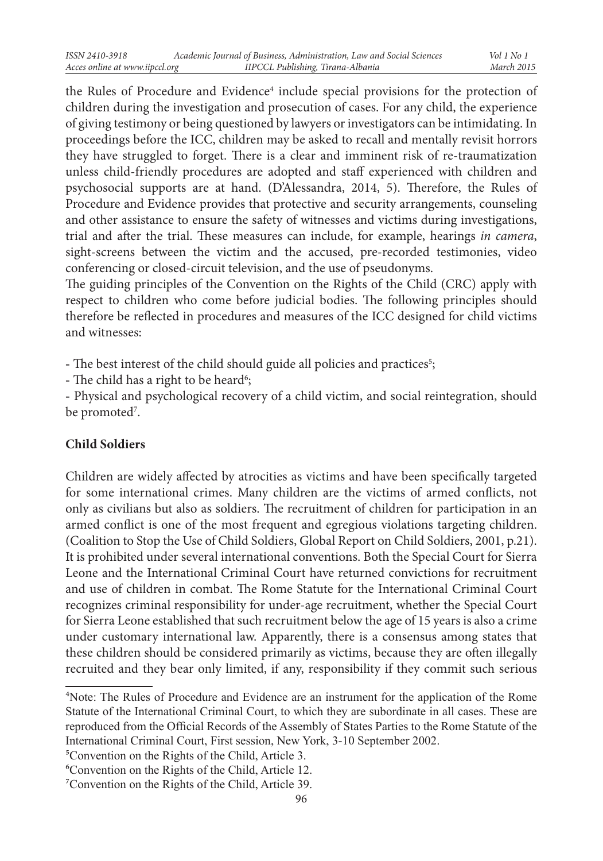the Rules of Procedure and Evidence<sup>4</sup> include special provisions for the protection of children during the investigation and prosecution of cases. For any child, the experience of giving testimony or being questioned by lawyers or investigators can be intimidating. In proceedings before the ICC, children may be asked to recall and mentally revisit horrors they have struggled to forget. There is a clear and imminent risk of re-traumatization unless child-friendly procedures are adopted and staff experienced with children and psychosocial supports are at hand. (D'Alessandra, 2014, 5). Therefore, the Rules of Procedure and Evidence provides that protective and security arrangements, counseling and other assistance to ensure the safety of witnesses and victims during investigations, trial and after the trial. These measures can include, for example, hearings *in camera*, sight-screens between the victim and the accused, pre-recorded testimonies, video conferencing or closed-circuit television, and the use of pseudonyms.

The guiding principles of the Convention on the Rights of the Child (CRC) apply with respect to children who come before judicial bodies. The following principles should therefore be reflected in procedures and measures of the ICC designed for child victims and witnesses:

- The best interest of the child should guide all policies and practices<sup>5</sup>;

- The child has a right to be heard $^6;$ 

- Physical and psychological recovery of a child victim, and social reintegration, should be promoted<sup>7</sup>.

# **Child Soldiers**

Children are widely affected by atrocities as victims and have been specifically targeted for some international crimes. Many children are the victims of armed conflicts, not only as civilians but also as soldiers. The recruitment of children for participation in an armed conflict is one of the most frequent and egregious violations targeting children. (Coalition to Stop the Use of Child Soldiers, Global Report on Child Soldiers, 2001, p.21). It is prohibited under several international conventions. Both the Special Court for Sierra Leone and the International Criminal Court have returned convictions for recruitment and use of children in combat. The Rome Statute for the International Criminal Court recognizes criminal responsibility for under-age recruitment, whether the Special Court for Sierra Leone established that such recruitment below the age of 15 years is also a crime under customary international law. Apparently, there is a consensus among states that these children should be considered primarily as victims, because they are often illegally recruited and they bear only limited, if any, responsibility if they commit such serious

5Convention on the Rights of the Child, Article 3.

<sup>4</sup>Note: The Rules of Procedure and Evidence are an instrument for the application of the Rome Statute of the International Criminal Court, to which they are subordinate in all cases. These are reproduced from the Official Records of the Assembly of States Parties to the Rome Statute of the International Criminal Court, First session, New York, 3-10 September 2002.

<sup>6</sup>Convention on the Rights of the Child, Article 12.

<sup>7</sup>Convention on the Rights of the Child, Article 39.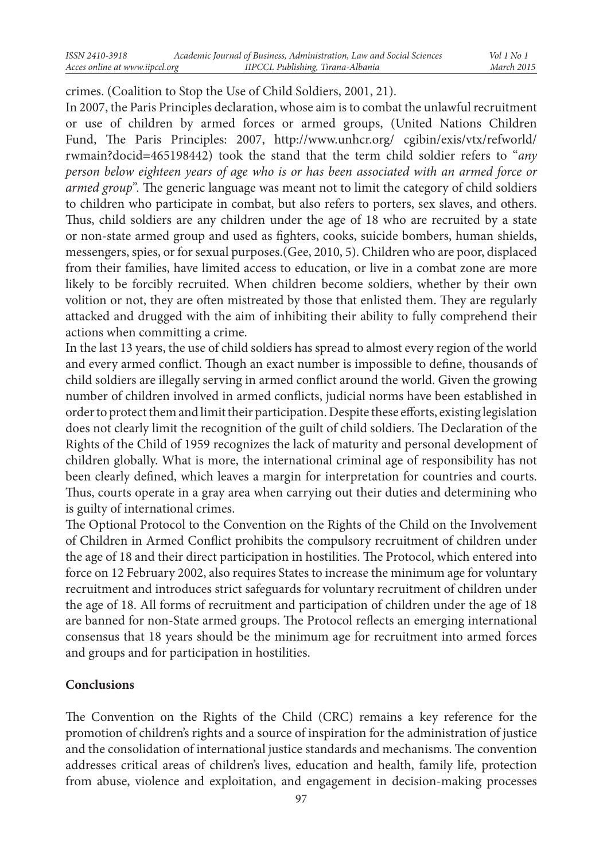crimes. (Coalition to Stop the Use of Child Soldiers, 2001, 21).

In 2007, the Paris Principles declaration, whose aim is to combat the unlawful recruitment or use of children by armed forces or armed groups, (United Nations Children Fund, The Paris Principles: 2007, http://www.unhcr.org/ cgibin/exis/vtx/refworld/ rwmain?docid=465198442) took the stand that the term child soldier refers to "*any person below eighteen years of age who is or has been associated with an armed force or armed group".* The generic language was meant not to limit the category of child soldiers to children who participate in combat, but also refers to porters, sex slaves, and others. Thus, child soldiers are any children under the age of 18 who are recruited by a state or non-state armed group and used as fighters, cooks, suicide bombers, human shields, messengers, spies, or for sexual purposes.(Gee, 2010, 5). Children who are poor, displaced from their families, have limited access to education, or live in a combat zone are more likely to be forcibly recruited. When children become soldiers, whether by their own volition or not, they are often mistreated by those that enlisted them. They are regularly attacked and drugged with the aim of inhibiting their ability to fully comprehend their actions when committing a crime.

In the last 13 years, the use of child soldiers has spread to almost every region of the world and every armed conflict. Though an exact number is impossible to define, thousands of child soldiers are illegally serving in armed conflict around the world. Given the growing number of children involved in armed conflicts, judicial norms have been established in order to protect them and limit their participation. Despite these efforts, existing legislation does not clearly limit the recognition of the guilt of child soldiers. The Declaration of the Rights of the Child of 1959 recognizes the lack of maturity and personal development of children globally. What is more, the international criminal age of responsibility has not been clearly defined, which leaves a margin for interpretation for countries and courts. Thus, courts operate in a gray area when carrying out their duties and determining who is guilty of international crimes.

The Optional Protocol to the Convention on the Rights of the Child on the Involvement of Children in Armed Conflict prohibits the compulsory recruitment of children under the age of 18 and their direct participation in hostilities. The Protocol, which entered into force on 12 February 2002, also requires States to increase the minimum age for voluntary recruitment and introduces strict safeguards for voluntary recruitment of children under the age of 18. All forms of recruitment and participation of children under the age of 18 are banned for non-State armed groups. The Protocol reflects an emerging international consensus that 18 years should be the minimum age for recruitment into armed forces and groups and for participation in hostilities.

### **Conclusions**

The Convention on the Rights of the Child (CRC) remains a key reference for the promotion of children's rights and a source of inspiration for the administration of justice and the consolidation of international justice standards and mechanisms. The convention addresses critical areas of children's lives, education and health, family life, protection from abuse, violence and exploitation, and engagement in decision-making processes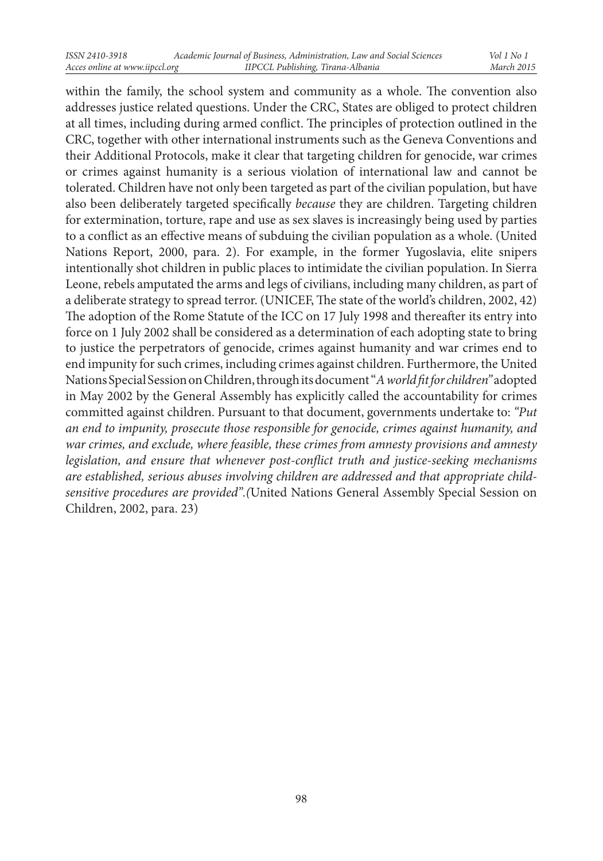within the family, the school system and community as a whole. The convention also addresses justice related questions. Under the CRC, States are obliged to protect children at all times, including during armed conflict. The principles of protection outlined in the CRC, together with other international instruments such as the Geneva Conventions and their Additional Protocols, make it clear that targeting children for genocide, war crimes or crimes against humanity is a serious violation of international law and cannot be tolerated. Children have not only been targeted as part of the civilian population, but have also been deliberately targeted specifically *because* they are children. Targeting children for extermination, torture, rape and use as sex slaves is increasingly being used by parties to a conflict as an effective means of subduing the civilian population as a whole. (United Nations Report, 2000, para. 2). For example, in the former Yugoslavia, elite snipers intentionally shot children in public places to intimidate the civilian population. In Sierra Leone, rebels amputated the arms and legs of civilians, including many children, as part of a deliberate strategy to spread terror. (UNICEF, The state of the world's children, 2002, 42) The adoption of the Rome Statute of the ICC on 17 July 1998 and thereafter its entry into force on 1 July 2002 shall be considered as a determination of each adopting state to bring to justice the perpetrators of genocide, crimes against humanity and war crimes end to end impunity for such crimes, including crimes against children. Furthermore, the United Nations Special Session on Children, through its document "*A world fit for children"* adopted in May 2002 by the General Assembly has explicitly called the accountability for crimes committed against children. Pursuant to that document, governments undertake to: *"Put an end to impunity, prosecute those responsible for genocide, crimes against humanity, and war crimes, and exclude, where feasible, these crimes from amnesty provisions and amnesty legislation, and ensure that whenever post-conflict truth and justice-seeking mechanisms are established, serious abuses involving children are addressed and that appropriate childsensitive procedures are provided".(*United Nations General Assembly Special Session on Children, 2002, para. 23)